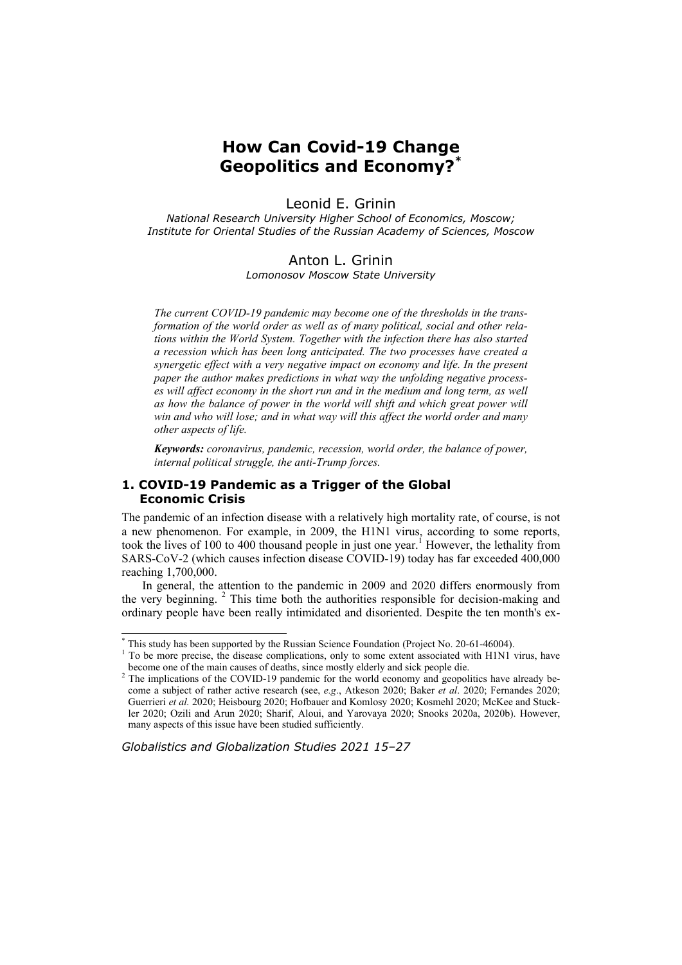# **How Can Covid-19 Change Geopolitics and Economy?\***

## Leonid E. Grinin

*National Research University Higher School of Economics, Moscow; Institute for Oriental Studies of the Russian Academy of Sciences, Moscow* 

#### Anton L. Grinin

*Lomonosov Moscow State University* 

*The current COVID-19 pandemic may become one of the thresholds in the transformation of the world order as well as of many political, social and other relations within the World System. Together with the infection there has also started a recession which has been long anticipated. The two processes have created a synergetic effect with a very negative impact on economy and life. In the present paper the author makes predictions in what way the unfolding negative processes will affect economy in the short run and in the medium and long term, as well*  as how the balance of power in the world will shift and which great power will *win and who will lose; and in what way will this affect the world order and many other aspects of life.* 

*Keywords: coronavirus, pandemic, recession, world order, the balance of power, internal political struggle, the anti-Trump forces.* 

## **1. COVID-19 Pandemic as a Trigger of the Global Economic Crisis**

The pandemic of an infection disease with a relatively high mortality rate, of course, is not a new phenomenon. For example, in 2009, the H1N1 virus, according to some reports, took the lives of 100 to 400 thousand people in just one year.<sup>1</sup> However, the lethality from SARS-CoV-2 (which causes infection disease COVID-19) today has far exceeded 400,000 reaching 1,700,000.

In general, the attention to the pandemic in 2009 and 2020 differs enormously from the very beginning.<sup>2</sup> This time both the authorities responsible for decision-making and ordinary people have been really intimidated and disoriented. Despite the ten month's ex-

*Globalistics and Globalization Studies 2021 15–27*

<sup>\*</sup> This study has been supported by the Russian Science Foundation (Project No. 20-61-46004).

The start may have complicated by the disease complications, only to some extent associated with H1N1 virus, have become one of the main causes of deaths, since mostly elderly and sick people die.

<sup>&</sup>lt;sup>2</sup> The implications of the COVID-19 pandemic for the world economy and geopolitics have already become a subject of rather active research (see, *e.g*., Atkeson 2020; Baker *et al*. 2020; Fernandes 2020; Guerrieri *et al.* 2020; Heisbourg 2020; Hofbauer and Komlosy 2020; Kosmehl 2020; McKee and Stuckler 2020; Ozili and Arun 2020; Sharif, Aloui, and Yarovaya 2020; Snooks 2020a, 2020b). However, many aspects of this issue have been studied sufficiently.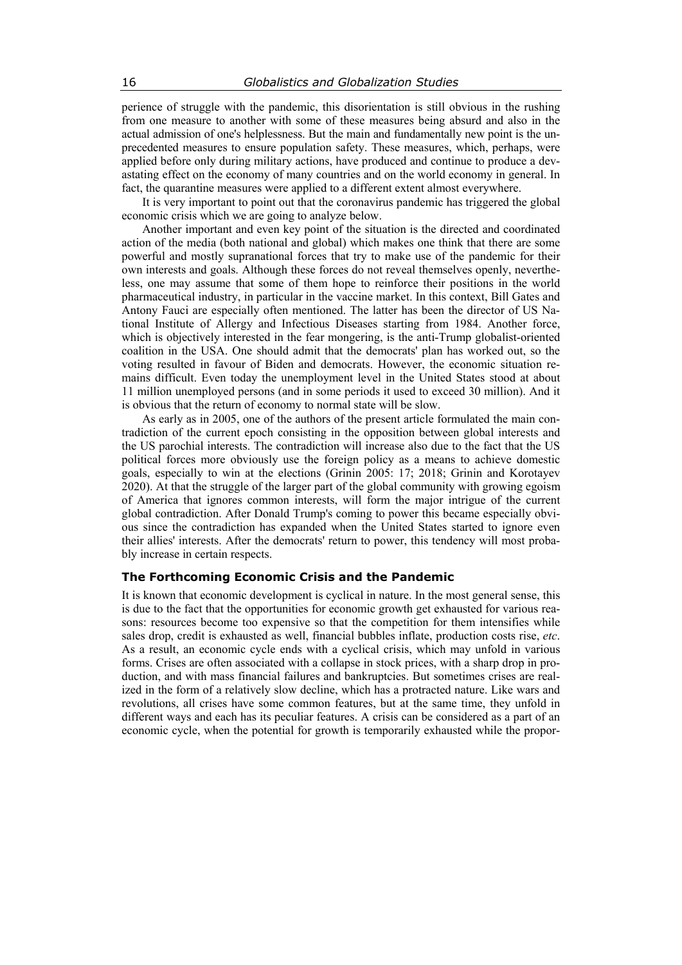perience of struggle with the pandemic, this disorientation is still obvious in the rushing from one measure to another with some of these measures being absurd and also in the actual admission of one's helplessness. But the main and fundamentally new point is the unprecedented measures to ensure population safety. These measures, which, perhaps, were applied before only during military actions, have produced and continue to produce a devastating effect on the economy of many countries and on the world economy in general. In fact, the quarantine measures were applied to a different extent almost everywhere.

It is very important to point out that the coronavirus pandemic has triggered the global economic crisis which we are going to analyze below.

Another important and even key point of the situation is the directed and coordinated action of the media (both national and global) which makes one think that there are some powerful and mostly supranational forces that try to make use of the pandemic for their own interests and goals. Although these forces do not reveal themselves openly, nevertheless, one may assume that some of them hope to reinforce their positions in the world pharmaceutical industry, in particular in the vaccine market. In this context, Bill Gates and Antony Fauci are especially often mentioned. The latter has been the director of US National Institute of Allergy and Infectious Diseases starting from 1984. Another force, which is objectively interested in the fear mongering, is the anti-Trump globalist-oriented coalition in the USA. One should admit that the democrats' plan has worked out, so the voting resulted in favour of Biden and democrats. However, the economic situation remains difficult. Even today the unemployment level in the United States stood at about 11 million unemployed persons (and in some periods it used to exceed 30 million). And it is obvious that the return of economy to normal state will be slow.

As early as in 2005, one of the authors of the present article formulated the main contradiction of the current epoch consisting in the opposition between global interests and the US parochial interests. The contradiction will increase also due to the fact that the US political forces more obviously use the foreign policy as a means to achieve domestic goals, especially to win at the elections (Grinin 2005: 17; 2018; Grinin and Korotayev 2020). At that the struggle of the larger part of the global community with growing egoism of America that ignores common interests, will form the major intrigue of the current global contradiction. After Donald Trump's coming to power this became especially obvious since the contradiction has expanded when the United States started to ignore even their allies' interests. After the democrats' return to power, this tendency will most probably increase in certain respects.

## **The Forthcoming Economic Crisis and the Pandemic**

It is known that economic development is cyclical in nature. In the most general sense, this is due to the fact that the opportunities for economic growth get exhausted for various reasons: resources become too expensive so that the competition for them intensifies while sales drop, credit is exhausted as well, financial bubbles inflate, production costs rise, *etc*. As a result, an economic cycle ends with a cyclical crisis, which may unfold in various forms. Crises are often associated with a collapse in stock prices, with a sharp drop in production, and with mass financial failures and bankruptcies. But sometimes crises are realized in the form of a relatively slow decline, which has a protracted nature. Like wars and revolutions, all crises have some common features, but at the same time, they unfold in different ways and each has its peculiar features. A crisis can be considered as a part of an economic cycle, when the potential for growth is temporarily exhausted while the propor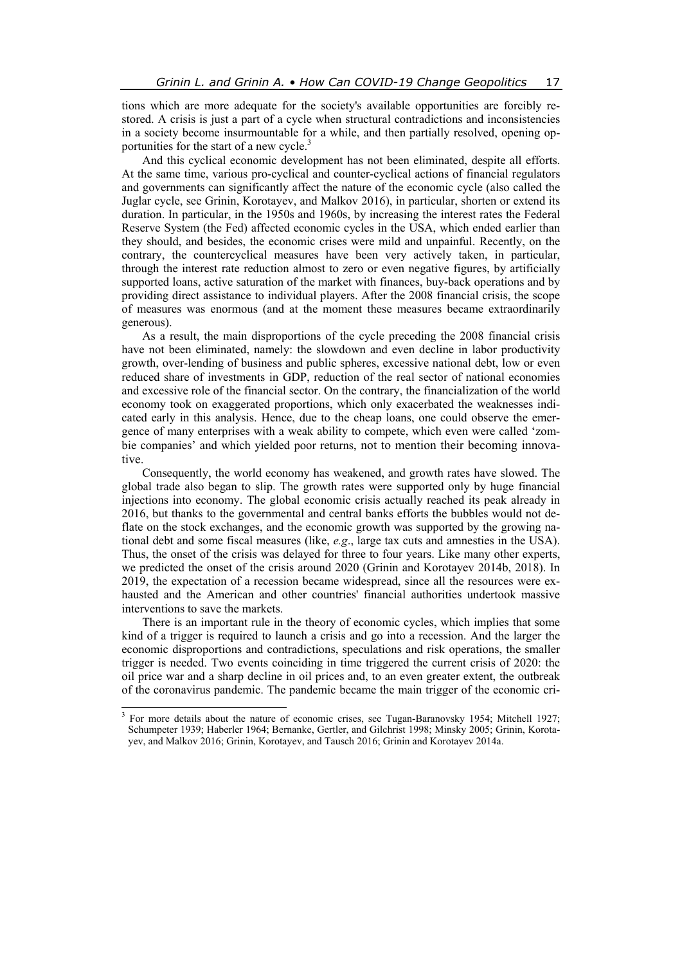tions which are more adequate for the society's available opportunities are forcibly restored. A crisis is just a part of a cycle when structural contradictions and inconsistencies in a society become insurmountable for a while, and then partially resolved, opening opportunities for the start of a new cycle. $3$ 

And this cyclical economic development has not been eliminated, despite all efforts. At the same time, various pro-cyclical and counter-cyclical actions of financial regulators and governments can significantly affect the nature of the economic cycle (also called the Juglar cycle, see Grinin, Korotayev, and Malkov 2016), in particular, shorten or extend its duration. In particular, in the 1950s and 1960s, by increasing the interest rates the Federal Reserve System (the Fed) affected economic cycles in the USA, which ended earlier than they should, and besides, the economic crises were mild and unpainful. Recently, on the contrary, the countercyclical measures have been very actively taken, in particular, through the interest rate reduction almost to zero or even negative figures, by artificially supported loans, active saturation of the market with finances, buy-back operations and by providing direct assistance to individual players. After the 2008 financial crisis, the scope of measures was enormous (and at the moment these measures became extraordinarily generous).

As a result, the main disproportions of the cycle preceding the 2008 financial crisis have not been eliminated, namely: the slowdown and even decline in labor productivity growth, over-lending of business and public spheres, excessive national debt, low or even reduced share of investments in GDP, reduction of the real sector of national economies and excessive role of the financial sector. On the contrary, the financialization of the world economy took on exaggerated proportions, which only exacerbated the weaknesses indicated early in this analysis. Hence, due to the cheap loans, one could observe the emergence of many enterprises with a weak ability to compete, which even were called 'zombie companies' and which yielded poor returns, not to mention their becoming innovative.

Consequently, the world economy has weakened, and growth rates have slowed. The global trade also began to slip. The growth rates were supported only by huge financial injections into economy. The global economic crisis actually reached its peak already in 2016, but thanks to the governmental and central banks efforts the bubbles would not deflate on the stock exchanges, and the economic growth was supported by the growing national debt and some fiscal measures (like, *e.g*., large tax cuts and amnesties in the USA). Thus, the onset of the crisis was delayed for three to four years. Like many other experts, we predicted the onset of the crisis around 2020 (Grinin and Korotayev 2014b, 2018). In 2019, the expectation of a recession became widespread, since all the resources were exhausted and the American and other countries' financial authorities undertook massive interventions to save the markets.

There is an important rule in the theory of economic cycles, which implies that some kind of a trigger is required to launch a crisis and go into a recession. And the larger the economic disproportions and contradictions, speculations and risk operations, the smaller trigger is needed. Two events coinciding in time triggered the current crisis of 2020: the oil price war and a sharp decline in oil prices and, to an even greater extent, the outbreak of the coronavirus pandemic. The pandemic became the main trigger of the economic cri-

<sup>&</sup>lt;sup>3</sup> For more details about the nature of economic crises, see Tugan-Baranovsky 1954; Mitchell 1927; Schumpeter 1939; Haberler 1964; Bernanke, Gertler, and Gilchrist 1998; Minsky 2005; Grinin, Korotayev, and Malkov 2016; Grinin, Korotayev, and Tausch 2016; Grinin and Korotayev 2014a.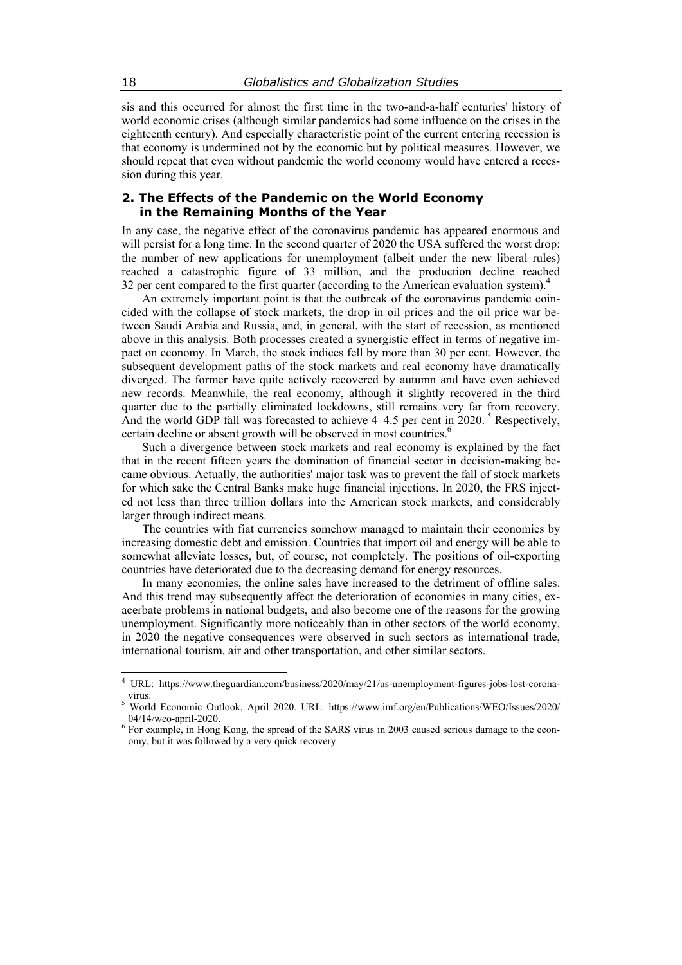sis and this occurred for almost the first time in the two-and-a-half centuries' history of world economic crises (although similar pandemics had some influence on the crises in the eighteenth century). And especially characteristic point of the current entering recession is that economy is undermined not by the economic but by political measures. However, we should repeat that even without pandemic the world economy would have entered a recession during this year.

#### **2. The Effects of the Pandemic on the World Economy in the Remaining Months of the Year**

In any case, the negative effect of the coronavirus pandemic has appeared enormous and will persist for a long time. In the second quarter of 2020 the USA suffered the worst drop: the number of new applications for unemployment (albeit under the new liberal rules) reached a catastrophic figure of 33 million, and the production decline reached 32 per cent compared to the first quarter (according to the American evaluation system).<sup>4</sup>

An extremely important point is that the outbreak of the coronavirus pandemic coincided with the collapse of stock markets, the drop in oil prices and the oil price war between Saudi Arabia and Russia, and, in general, with the start of recession, as mentioned above in this analysis. Both processes created a synergistic effect in terms of negative impact on economy. In March, the stock indices fell by more than 30 per cent. However, the subsequent development paths of the stock markets and real economy have dramatically diverged. The former have quite actively recovered by autumn and have even achieved new records. Meanwhile, the real economy, although it slightly recovered in the third quarter due to the partially eliminated lockdowns, still remains very far from recovery. And the world GDP fall was forecasted to achieve  $4-4.5$  per cent in 2020. <sup>5</sup> Respectively, certain decline or absent growth will be observed in most countries.<sup>6</sup>

Such a divergence between stock markets and real economy is explained by the fact that in the recent fifteen years the domination of financial sector in decision-making became obvious. Actually, the authorities' major task was to prevent the fall of stock markets for which sake the Central Banks make huge financial injections. In 2020, the FRS injected not less than three trillion dollars into the American stock markets, and considerably larger through indirect means.

The countries with fiat currencies somehow managed to maintain their economies by increasing domestic debt and emission. Countries that import oil and energy will be able to somewhat alleviate losses, but, of course, not completely. The positions of oil-exporting countries have deteriorated due to the decreasing demand for energy resources.

In many economies, the online sales have increased to the detriment of offline sales. And this trend may subsequently affect the deterioration of economies in many cities, exacerbate problems in national budgets, and also become one of the reasons for the growing unemployment. Significantly more noticeably than in other sectors of the world economy, in 2020 the negative consequences were observed in such sectors as international trade, international tourism, air and other transportation, and other similar sectors.

<sup>4</sup> URL: https://www.theguardian.com/business/2020/may/21/us-unemployment-figures-jobs-lost-coronavirus.  $\zeta$ 

World Economic Outlook, April 2020. URL: https://www.imf.org/en/Publications/WEO/Issues/2020/ 04/14/weo-april-2020.

<sup>&</sup>lt;sup>6</sup> For example, in Hong Kong, the spread of the SARS virus in 2003 caused serious damage to the economy, but it was followed by a very quick recovery.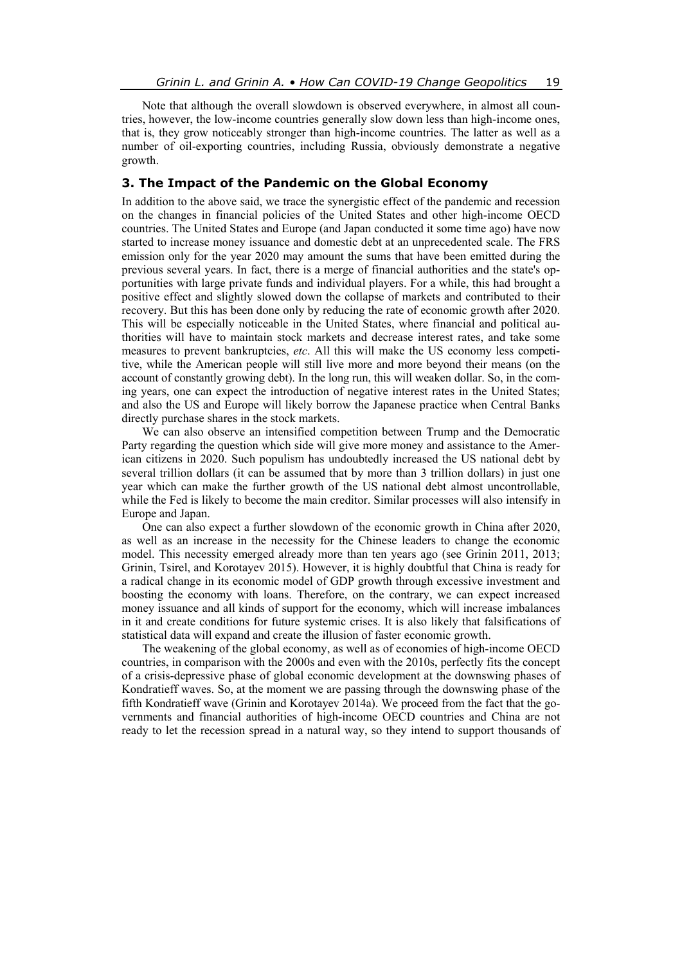Note that although the overall slowdown is observed everywhere, in almost all countries, however, the low-income countries generally slow down less than high-income ones, that is, they grow noticeably stronger than high-income countries. The latter as well as a number of oil-exporting countries, including Russia, obviously demonstrate a negative growth.

### **3. The Impact of the Pandemic on the Global Economy**

In addition to the above said, we trace the synergistic effect of the pandemic and recession on the changes in financial policies of the United States and other high-income OECD countries. The United States and Europe (and Japan conducted it some time ago) have now started to increase money issuance and domestic debt at an unprecedented scale. The FRS emission only for the year 2020 may amount the sums that have been emitted during the previous several years. In fact, there is a merge of financial authorities and the state's opportunities with large private funds and individual players. For a while, this had brought a positive effect and slightly slowed down the collapse of markets and contributed to their recovery. But this has been done only by reducing the rate of economic growth after 2020. This will be especially noticeable in the United States, where financial and political authorities will have to maintain stock markets and decrease interest rates, and take some measures to prevent bankruptcies, *etc*. All this will make the US economy less competitive, while the American people will still live more and more beyond their means (on the account of constantly growing debt). In the long run, this will weaken dollar. So, in the coming years, one can expect the introduction of negative interest rates in the United States; and also the US and Europe will likely borrow the Japanese practice when Central Banks directly purchase shares in the stock markets.

We can also observe an intensified competition between Trump and the Democratic Party regarding the question which side will give more money and assistance to the American citizens in 2020. Such populism has undoubtedly increased the US national debt by several trillion dollars (it can be assumed that by more than 3 trillion dollars) in just one year which can make the further growth of the US national debt almost uncontrollable, while the Fed is likely to become the main creditor. Similar processes will also intensify in Europe and Japan.

One can also expect a further slowdown of the economic growth in China after 2020, as well as an increase in the necessity for the Chinese leaders to change the economic model. This necessity emerged already more than ten years ago (see Grinin 2011, 2013; Grinin, Tsirel, and Korotayev 2015). However, it is highly doubtful that China is ready for a radical change in its economic model of GDP growth through excessive investment and boosting the economy with loans. Therefore, on the contrary, we can expect increased money issuance and all kinds of support for the economy, which will increase imbalances in it and create conditions for future systemic crises. It is also likely that falsifications of statistical data will expand and create the illusion of faster economic growth.

The weakening of the global economy, as well as of economies of high-income OECD countries, in comparison with the 2000s and even with the 2010s, perfectly fits the concept of a crisis-depressive phase of global economic development at the downswing phases of Kondratieff waves. So, at the moment we are passing through the downswing phase of the fifth Kondratieff wave (Grinin and Korotayev 2014a). We proceed from the fact that the governments and financial authorities of high-income OECD countries and China are not ready to let the recession spread in a natural way, so they intend to support thousands of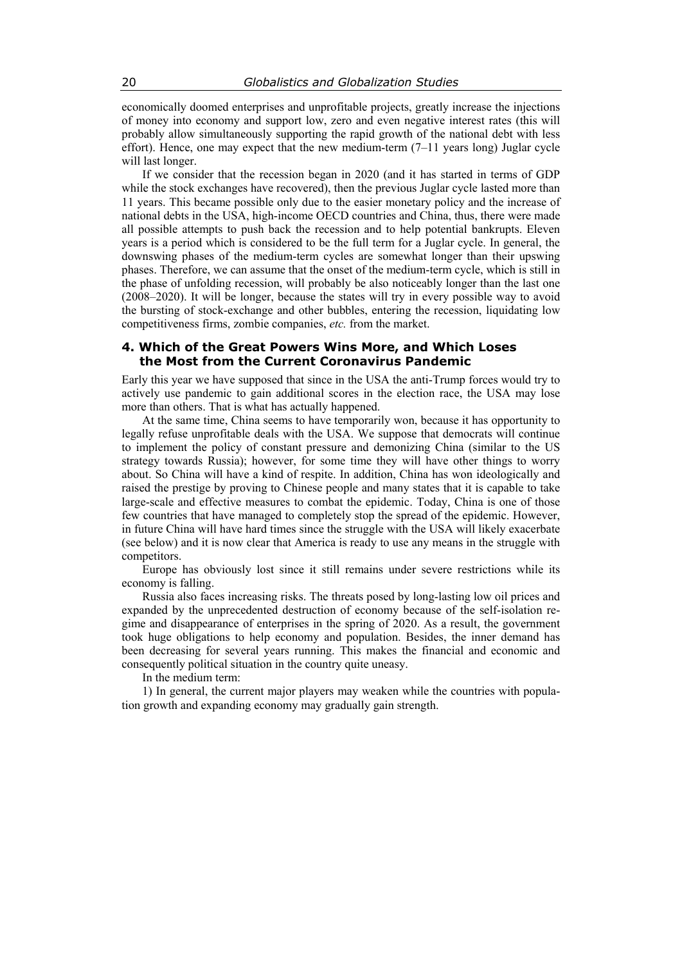economically doomed enterprises and unprofitable projects, greatly increase the injections of money into economy and support low, zero and even negative interest rates (this will probably allow simultaneously supporting the rapid growth of the national debt with less effort). Hence, one may expect that the new medium-term (7–11 years long) Juglar cycle will last longer.

If we consider that the recession began in 2020 (and it has started in terms of GDP while the stock exchanges have recovered), then the previous Juglar cycle lasted more than 11 years. This became possible only due to the easier monetary policy and the increase of national debts in the USA, high-income OECD countries and China, thus, there were made all possible attempts to push back the recession and to help potential bankrupts. Eleven years is a period which is considered to be the full term for a Juglar cycle. In general, the downswing phases of the medium-term cycles are somewhat longer than their upswing phases. Therefore, we can assume that the onset of the medium-term cycle, which is still in the phase of unfolding recession, will probably be also noticeably longer than the last one (2008–2020). It will be longer, because the states will try in every possible way to avoid the bursting of stock-exchange and other bubbles, entering the recession, liquidating low competitiveness firms, zombie companies, *etc.* from the market.

### **4. Which of the Great Powers Wins More, and Which Loses the Most from the Current Coronavirus Pandemic**

Early this year we have supposed that since in the USA the anti-Trump forces would try to actively use pandemic to gain additional scores in the election race, the USA may lose more than others. That is what has actually happened.

At the same time, China seems to have temporarily won, because it has opportunity to legally refuse unprofitable deals with the USA. We suppose that democrats will continue to implement the policy of constant pressure and demonizing China (similar to the US strategy towards Russia); however, for some time they will have other things to worry about. So China will have a kind of respite. In addition, China has won ideologically and raised the prestige by proving to Chinese people and many states that it is capable to take large-scale and effective measures to combat the epidemic. Today, China is one of those few countries that have managed to completely stop the spread of the epidemic. However, in future China will have hard times since the struggle with the USA will likely exacerbate (see below) and it is now clear that America is ready to use any means in the struggle with competitors.

Europe has obviously lost since it still remains under severe restrictions while its economy is falling.

Russia also faces increasing risks. The threats posed by long-lasting low oil prices and expanded by the unprecedented destruction of economy because of the self-isolation regime and disappearance of enterprises in the spring of 2020. As a result, the government took huge obligations to help economy and population. Besides, the inner demand has been decreasing for several years running. This makes the financial and economic and consequently political situation in the country quite uneasy.

In the medium term:

1) In general, the current major players may weaken while the countries with population growth and expanding economy may gradually gain strength.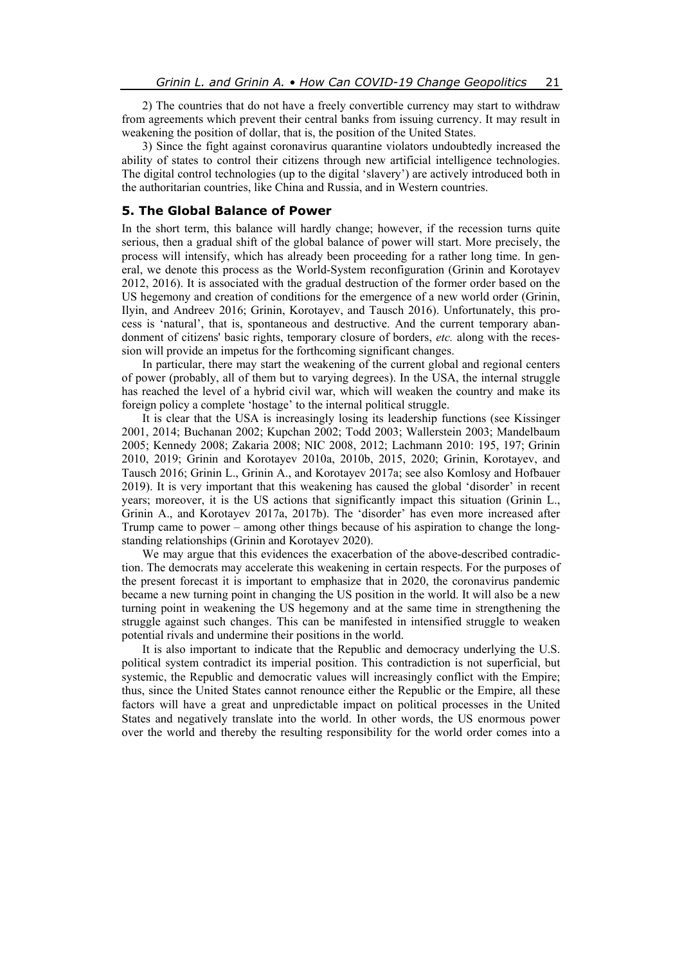2) The countries that do not have a freely convertible currency may start to withdraw from agreements which prevent their central banks from issuing currency. It may result in weakening the position of dollar, that is, the position of the United States.

3) Since the fight against coronavirus quarantine violators undoubtedly increased the ability of states to control their citizens through new artificial intelligence technologies. The digital control technologies (up to the digital 'slavery') are actively introduced both in the authoritarian countries, like China and Russia, and in Western countries.

## **5. The Global Balance of Power**

In the short term, this balance will hardly change; however, if the recession turns quite serious, then a gradual shift of the global balance of power will start. More precisely, the process will intensify, which has already been proceeding for a rather long time. In general, we denote this process as the World-System reconfiguration (Grinin and Korotayev 2012, 2016). It is associated with the gradual destruction of the former order based on the US hegemony and creation of conditions for the emergence of a new world order (Grinin, Ilyin, and Andreev 2016; Grinin, Korotayev, and Tausch 2016). Unfortunately, this process is 'natural', that is, spontaneous and destructive. And the current temporary abandonment of citizens' basic rights, temporary closure of borders, *etc.* along with the recession will provide an impetus for the forthcoming significant changes.

In particular, there may start the weakening of the current global and regional centers of power (probably, all of them but to varying degrees). In the USA, the internal struggle has reached the level of a hybrid civil war, which will weaken the country and make its foreign policy a complete 'hostage' to the internal political struggle.

It is clear that the USA is increasingly losing its leadership functions (see Kissinger 2001, 2014; Buchanan 2002; Kupchan 2002; Todd 2003; Wallerstein 2003; Mandelbaum 2005; Kennedy 2008; Zakaria 2008; NIC 2008, 2012; Lachmann 2010: 195, 197; Grinin 2010, 2019; Grinin and Korotayev 2010a, 2010b, 2015, 2020; Grinin, Korotayev, and Tausch 2016; Grinin L., Grinin A., and Korotayev 2017a; see also Komlosy and Hofbauer 2019). It is very important that this weakening has caused the global 'disorder' in recent years; moreover, it is the US actions that significantly impact this situation (Grinin L., Grinin A., and Korotayev 2017a, 2017b). The 'disorder' has even more increased after Trump came to power – among other things because of his aspiration to change the longstanding relationships (Grinin and Korotayev 2020).

We may argue that this evidences the exacerbation of the above-described contradiction. The democrats may accelerate this weakening in certain respects. For the purposes of the present forecast it is important to emphasize that in 2020, the coronavirus pandemic became a new turning point in changing the US position in the world. It will also be a new turning point in weakening the US hegemony and at the same time in strengthening the struggle against such changes. This can be manifested in intensified struggle to weaken potential rivals and undermine their positions in the world.

It is also important to indicate that the Republic and democracy underlying the U.S. political system contradict its imperial position. This contradiction is not superficial, but systemic, the Republic and democratic values will increasingly conflict with the Empire; thus, since the United States cannot renounce either the Republic or the Empire, all these factors will have a great and unpredictable impact on political processes in the United States and negatively translate into the world. In other words, the US enormous power over the world and thereby the resulting responsibility for the world order comes into a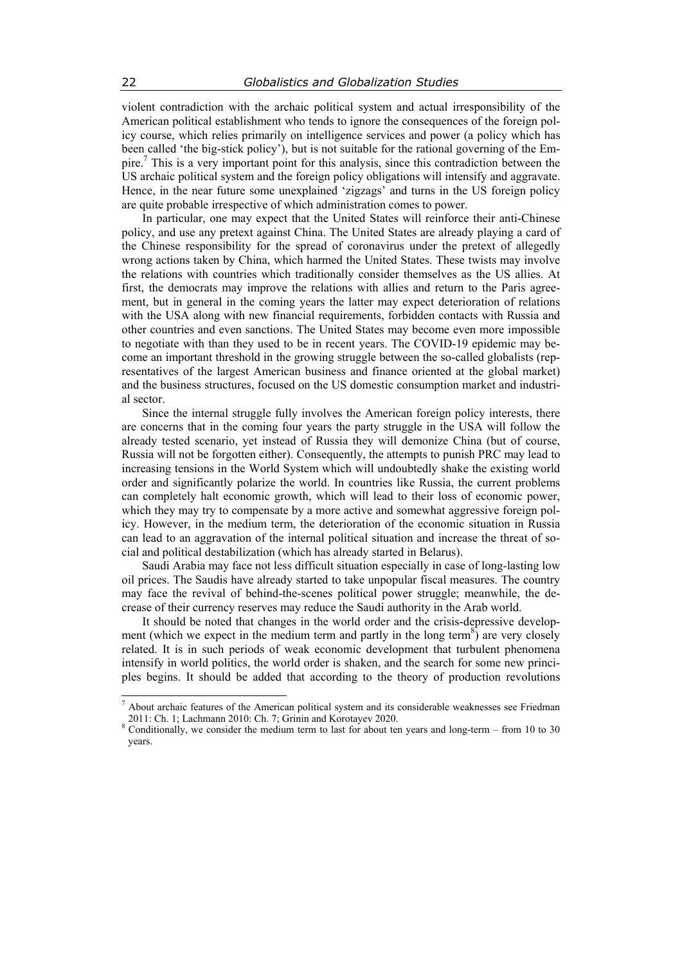violent contradiction with the archaic political system and actual irresponsibility of the American political establishment who tends to ignore the consequences of the foreign policy course, which relies primarily on intelligence services and power (a policy which has been called 'the big-stick policy'), but is not suitable for the rational governing of the Empire.7 This is a very important point for this analysis, since this contradiction between the US archaic political system and the foreign policy obligations will intensify and aggravate. Hence, in the near future some unexplained 'zigzags' and turns in the US foreign policy are quite probable irrespective of which administration comes to power.

In particular, one may expect that the United States will reinforce their anti-Chinese policy, and use any pretext against China. The United States are already playing a card of the Chinese responsibility for the spread of coronavirus under the pretext of allegedly wrong actions taken by China, which harmed the United States. These twists may involve the relations with countries which traditionally consider themselves as the US allies. At first, the democrats may improve the relations with allies and return to the Paris agreement, but in general in the coming years the latter may expect deterioration of relations with the USA along with new financial requirements, forbidden contacts with Russia and other countries and even sanctions. The United States may become even more impossible to negotiate with than they used to be in recent years. The COVID-19 epidemic may become an important threshold in the growing struggle between the so-called globalists (representatives of the largest American business and finance oriented at the global market) and the business structures, focused on the US domestic consumption market and industrial sector.

Since the internal struggle fully involves the American foreign policy interests, there are concerns that in the coming four years the party struggle in the USA will follow the already tested scenario, yet instead of Russia they will demonize China (but of course, Russia will not be forgotten either). Consequently, the attempts to punish PRC may lead to increasing tensions in the World System which will undoubtedly shake the existing world order and significantly polarize the world. In countries like Russia, the current problems can completely halt economic growth, which will lead to their loss of economic power, which they may try to compensate by a more active and somewhat aggressive foreign policy. However, in the medium term, the deterioration of the economic situation in Russia can lead to an aggravation of the internal political situation and increase the threat of social and political destabilization (which has already started in Belarus).

Saudi Arabia may face not less difficult situation especially in case of long-lasting low oil prices. The Saudis have already started to take unpopular fiscal measures. The country may face the revival of behind-the-scenes political power struggle; meanwhile, the decrease of their currency reserves may reduce the Saudi authority in the Arab world.

It should be noted that changes in the world order and the crisis-depressive development (which we expect in the medium term and partly in the long term<sup>8</sup>) are very closely related. It is in such periods of weak economic development that turbulent phenomena intensify in world politics, the world order is shaken, and the search for some new principles begins. It should be added that according to the theory of production revolutions

<sup>&</sup>lt;sup>7</sup> About archaic features of the American political system and its considerable weaknesses see Friedman 2011: Ch. 1; Lachmann 2010: Ch. 7; Grinin and Korotayev 2020.

<sup>8</sup> Conditionally, we consider the medium term to last for about ten years and long-term – from 10 to 30 years.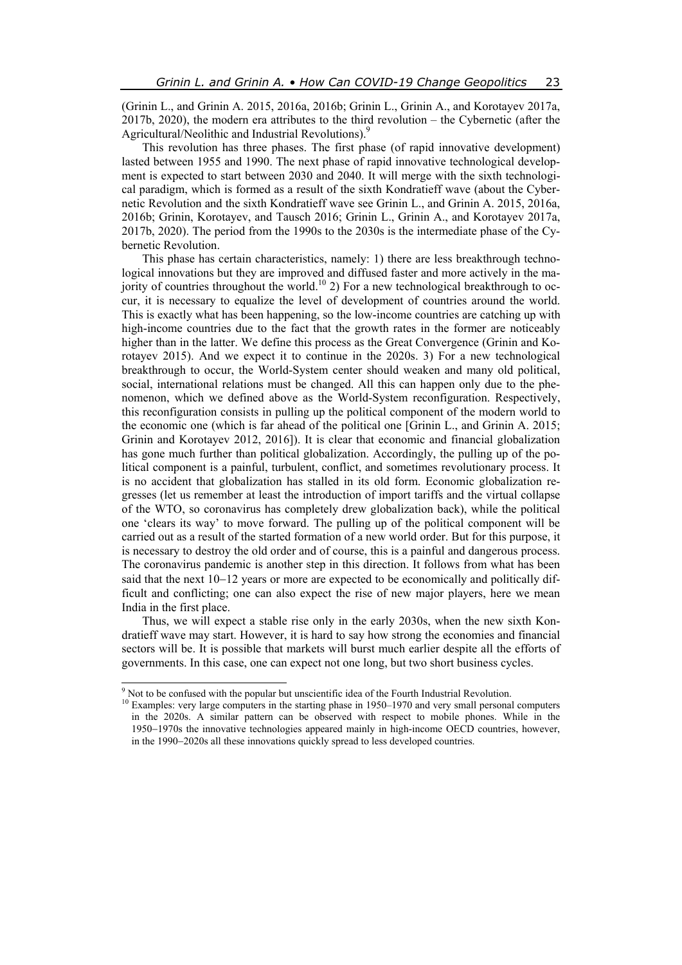(Grinin L., and Grinin A. 2015, 2016a, 2016b; Grinin L., Grinin A., and Korotayev 2017a, 2017b, 2020), the modern era attributes to the third revolution – the Cybernetic (after the Agricultural/Neolithic and Industrial Revolutions).<sup>9</sup>

This revolution has three phases. The first phase (of rapid innovative development) lasted between 1955 and 1990. The next phase of rapid innovative technological development is expected to start between 2030 and 2040. It will merge with the sixth technological paradigm, which is formed as a result of the sixth Kondratieff wave (about the Cybernetic Revolution and the sixth Kondratieff wave see Grinin L., and Grinin A. 2015, 2016a, 2016b; Grinin, Korotayev, and Tausch 2016; Grinin L., Grinin A., and Korotayev 2017a, 2017b, 2020). The period from the 1990s to the 2030s is the intermediate phase of the Cybernetic Revolution.

This phase has certain characteristics, namely: 1) there are less breakthrough technological innovations but they are improved and diffused faster and more actively in the majority of countries throughout the world.<sup>10</sup> 2) For a new technological breakthrough to occur, it is necessary to equalize the level of development of countries around the world. This is exactly what has been happening, so the low-income countries are catching up with high-income countries due to the fact that the growth rates in the former are noticeably higher than in the latter. We define this process as the Great Convergence (Grinin and Korotayev 2015). And we expect it to continue in the 2020s. 3) For a new technological breakthrough to occur, the World-System center should weaken and many old political, social, international relations must be changed. All this can happen only due to the phenomenon, which we defined above as the World-System reconfiguration. Respectively, this reconfiguration consists in pulling up the political component of the modern world to the economic one (which is far ahead of the political one [Grinin L., and Grinin A. 2015; Grinin and Korotayev 2012, 2016]). It is clear that economic and financial globalization has gone much further than political globalization. Accordingly, the pulling up of the political component is a painful, turbulent, conflict, and sometimes revolutionary process. It is no accident that globalization has stalled in its old form. Economic globalization regresses (let us remember at least the introduction of import tariffs and the virtual collapse of the WTO, so coronavirus has completely drew globalization back), while the political one 'clears its way' to move forward. The pulling up of the political component will be carried out as a result of the started formation of a new world order. But for this purpose, it is necessary to destroy the old order and of course, this is a painful and dangerous process. The coronavirus pandemic is another step in this direction. It follows from what has been said that the next  $10-12$  years or more are expected to be economically and politically difficult and conflicting; one can also expect the rise of new major players, here we mean India in the first place.

Thus, we will expect a stable rise only in the early 2030s, when the new sixth Kondratieff wave may start. However, it is hard to say how strong the economies and financial sectors will be. It is possible that markets will burst much earlier despite all the efforts of governments. In this case, one can expect not one long, but two short business cycles.

<sup>&</sup>lt;sup>9</sup> Not to be confused with the popular but unscientific idea of the Fourth Industrial Revolution.

<sup>&</sup>lt;sup>10</sup> Examples: very large computers in the starting phase in 1950–1970 and very small personal computers in the 2020s. A similar pattern can be observed with respect to mobile phones. While in the 1950–1970s the innovative technologies appeared mainly in high-income OECD countries, however, in the 1990–2020s all these innovations quickly spread to less developed countries.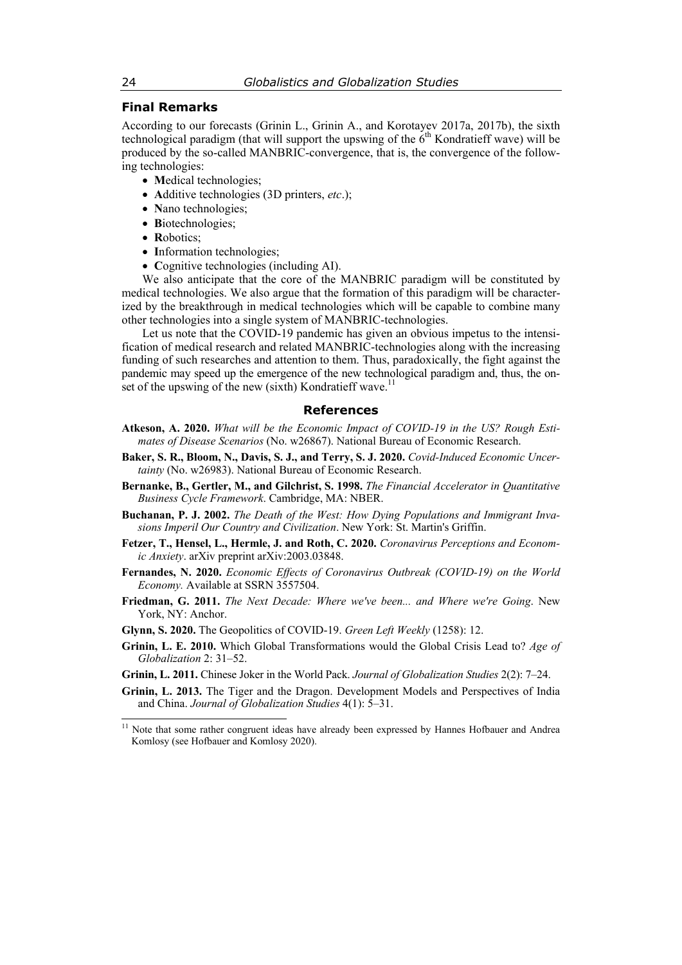## **Final Remarks**

According to our forecasts (Grinin L., Grinin A., and Korotayev 2017a, 2017b), the sixth technological paradigm (that will support the upswing of the  $6<sup>th</sup>$  Kondratieff wave) will be produced by the so-called MANBRIC-convergence, that is, the convergence of the following technologies:

- Medical technologies;
- **A**dditive technologies (3D printers, *etc*.);
- Nano technologies;
- Biotechnologies;
- **R**obotics;
- Information technologies;
- Cognitive technologies (including AI).

We also anticipate that the core of the MANBRIC paradigm will be constituted by medical technologies. We also argue that the formation of this paradigm will be characterized by the breakthrough in medical technologies which will be capable to combine many other technologies into a single system of MANBRIC-technologies.

Let us note that the COVID-19 pandemic has given an obvious impetus to the intensification of medical research and related MANBRIC-technologies along with the increasing funding of such researches and attention to them. Thus, paradoxically, the fight against the pandemic may speed up the emergence of the new technological paradigm and, thus, the onset of the upswing of the new (sixth) Kondratieff wave.<sup>11</sup>

#### **References**

- **Atkeson, A. 2020.** *What will be the Economic Impact of COVID-19 in the US? Rough Estimates of Disease Scenarios* (No. w26867). National Bureau of Economic Research.
- **Baker, S. R., Bloom, N., Davis, S. J., and Terry, S. J. 2020.** *Covid-Induced Economic Uncertainty* (No. w26983). National Bureau of Economic Research.
- **Bernanke, B., Gertler, M., and Gilchrist, S. 1998.** *The Financial Accelerator in Quantitative Business Cycle Framework*. Cambridge, MA: NBER.
- **Buchanan, P. J. 2002.** *The Death of the West: How Dying Populations and Immigrant Invasions Imperil Our Country and Civilization*. New York: St. Martin's Griffin.
- **Fetzer, T., Hensel, L., Hermle, J. and Roth, C. 2020.** *Coronavirus Perceptions and Economic Anxiety*. arXiv preprint arXiv:2003.03848.
- **Fernandes, N. 2020.** *Economic Effects of Coronavirus Outbreak (COVID-19) on the World Economy.* Available at SSRN 3557504.
- **Friedman, G. 2011.** *The Next Decade: Where we've been... and Where we're Going*. New York, NY: Anchor.
- **Glynn, S. 2020.** The Geopolitics of COVID-19. *Green Left Weekly* (1258): 12.
- **Grinin, L. E. 2010.** Which Global Transformations would the Global Crisis Lead to? *Age of Globalization* 2: 31–52.
- **Grinin, L. 2011.** Chinese Joker in the World Pack. *Journal of Globalization Studies* 2(2): 7–24.
- **Grinin, L. 2013.** The Tiger and the Dragon. Development Models and Perspectives of India and China. *Journal of Globalization Studies* 4(1): 5–31.

 $11$  Note that some rather congruent ideas have already been expressed by Hannes Hofbauer and Andrea Komlosy (see Hofbauer and Komlosy 2020).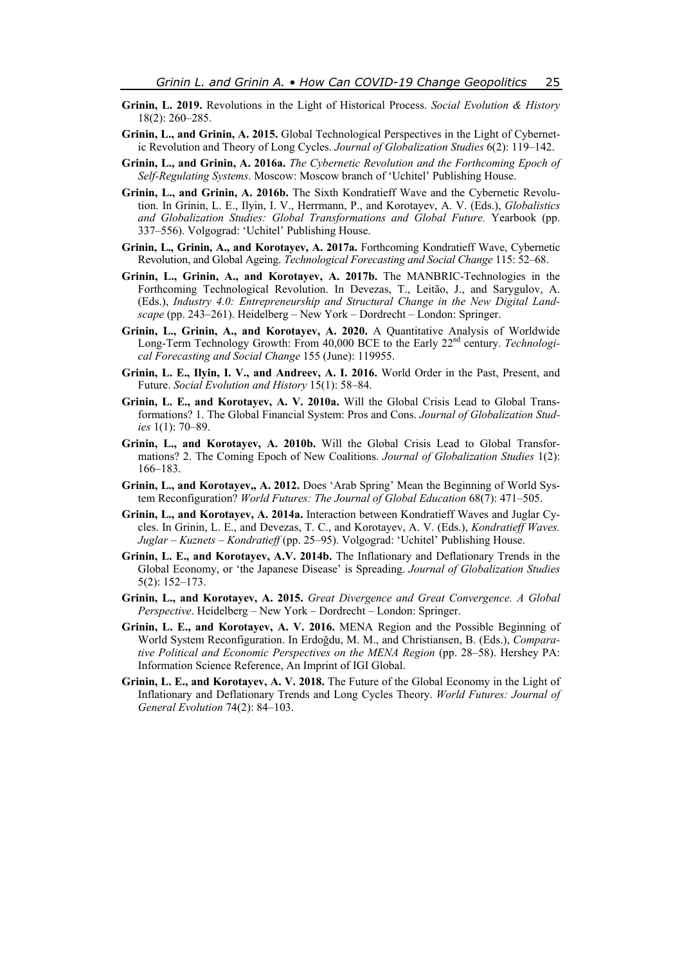- **Grinin, L. 2019.** Revolutions in the Light of Historical Process. *Social Evolution & History* 18(2): 260–285.
- **Grinin, L., and Grinin, A. 2015.** Global Technological Perspectives in the Light of Cybernetic Revolution and Theory of Long Cycles. *Journal of Globalization Studies* 6(2): 119–142.
- **Grinin, L., and Grinin, A. 2016a.** *The Cybernetic Revolution and the Forthcoming Epoch of Self-Regulating Systems*. Moscow: Moscow branch of 'Uchitel' Publishing House.
- **Grinin, L., and Grinin, A. 2016b.** The Sixth Kondratieff Wave and the Cybernetic Revolution. In Grinin, L. E., Ilyin, I. V., Herrmann, P., and Korotayev, A. V. (Eds.), *Globalistics and Globalization Studies: Global Transformations and Global Future.* Yearbook (pp. 337–556). Volgograd: 'Uchitel' Publishing House.
- **Grinin, L., Grinin, A., and Korotayev, A. 2017a.** Forthcoming Kondratieff Wave, Cybernetic Revolution, and Global Ageing. *Technological Forecasting and Social Change* 115: 52–68.
- **Grinin, L., Grinin, A., and Korotayev, A. 2017b.** The MANBRIC-Technologies in the Forthcoming Technological Revolution. In Devezas, T., Leitão, J., and Sarygulov, A. (Eds.), *Industry 4.0: Entrepreneurship and Structural Change in the New Digital Landscape* (pp. 243–261). Heidelberg – New York – Dordrecht – London: Springer.
- **Grinin, L., Grinin, A., and Korotayev, A. 2020.** A Quantitative Analysis of Worldwide Long-Term Technology Growth: From 40,000 BCE to the Early 22<sup>nd</sup> century. *Technological Forecasting and Social Change* 155 (June): 119955.
- **Grinin, L. E., Ilyin, I. V., and Andreev, A. I. 2016.** World Order in the Past, Present, and Future. *Social Evolution and History* 15(1): 58–84.
- **Grinin, L. E., and Korotayev, A. V. 2010a.** Will the Global Crisis Lead to Global Transformations? 1. The Global Financial System: Pros and Cons. *Journal of Globalization Studies* 1(1): 70–89.
- **Grinin, L., and Korotayev, A. 2010b.** Will the Global Crisis Lead to Global Transformations? 2. The Coming Epoch of New Coalitions. *Journal of Globalization Studies* 1(2): 166–183.
- **Grinin, L., and Korotayev,, A. 2012.** Does 'Arab Spring' Mean the Beginning of World System Reconfiguration? *World Futures: The Journal of Global Education* 68(7): 471–505.
- **Grinin, L., and Korotayev, A. 2014a.** Interaction between Kondratieff Waves and Juglar Cycles. In Grinin, L. E., and Devezas, T. C., and Korotayev, A. V. (Eds.), *Kondratieff Waves. Juglar – Kuznets – Kondratieff* (pp. 25–95). Volgograd: 'Uchitel' Publishing House.
- **Grinin, L. E., and Korotayev, A.V. 2014b.** The Inflationary and Deflationary Trends in the Global Economy, or 'the Japanese Disease' is Spreading. *Journal of Globalization Studies* 5(2): 152–173.
- **Grinin, L., and Korotayev, A. 2015.** *Great Divergence and Great Convergence. A Global Perspective*. Heidelberg – New York – Dordrecht – London: Springer.
- **Grinin, L. E., and Korotayev, A. V. 2016.** MENA Region and the Possible Beginning of World System Reconfiguration. In Erdoğdu, M. M., and Christiansen, B. (Eds.), *Comparative Political and Economic Perspectives on the MENA Region* (pp. 28–58). Hershey PA: Information Science Reference, An Imprint of IGI Global.
- **Grinin, L. E., and Korotayev, A. V. 2018.** The Future of the Global Economy in the Light of Inflationary and Deflationary Trends and Long Cycles Theory. *World Futures: Journal of General Evolution* 74(2): 84–103.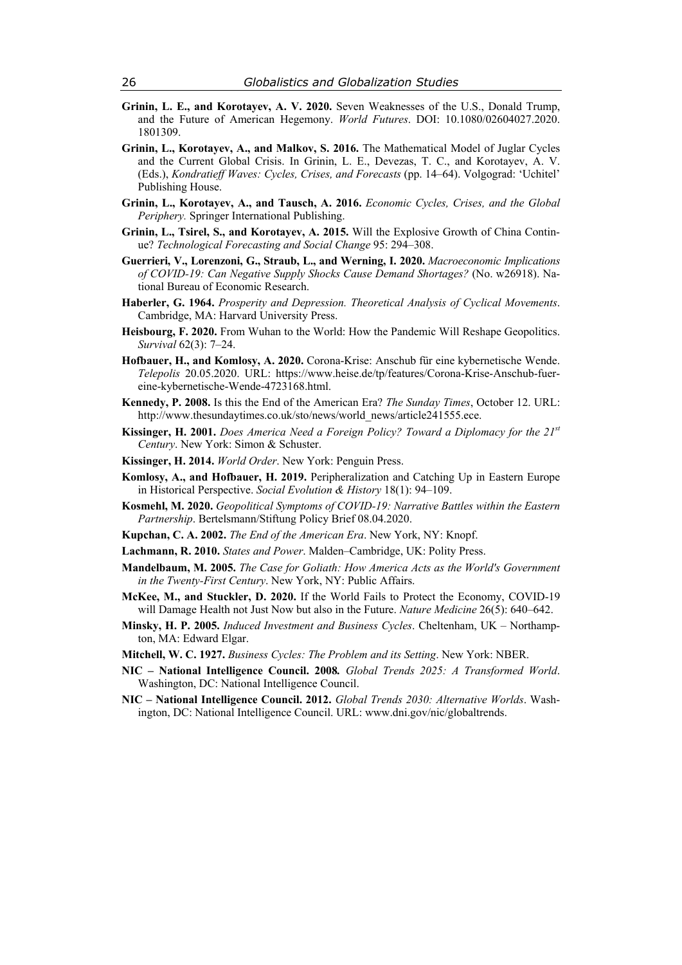- **Grinin, L. E., and Korotayev, A. V. 2020.** Seven Weaknesses of the U.S., Donald Trump, and the Future of American Hegemony. *World Futures*. DOI: 10.1080/02604027.2020. 1801309.
- **Grinin, L., Korotayev, A., and Malkov, S. 2016.** The Mathematical Model of Juglar Cycles and the Current Global Crisis. In Grinin, L. E., Devezas, T. C., and Korotayev, A. V. (Eds.), *Kondratieff Waves: Cycles, Crises, and Forecasts* (pp. 14–64). Volgograd: 'Uchitel' Publishing House.
- **Grinin, L., Korotayev, A., and Tausch, A. 2016.** *Economic Cycles, Crises, and the Global Periphery.* Springer International Publishing.
- **Grinin, L., Tsirel, S., and Korotayev, A. 2015.** Will the Explosive Growth of China Continue? *Technological Forecasting and Social Change* 95: 294–308.
- **Guerrieri, V., Lorenzoni, G., Straub, L., and Werning, I. 2020.** *Macroeconomic Implications of COVID-19: Can Negative Supply Shocks Cause Demand Shortages?* (No. w26918). National Bureau of Economic Research.
- **Haberler, G. 1964.** *Prosperity and Depression. Theoretical Analysis of Cyclical Movements*. Cambridge, MA: Harvard University Press.
- **Heisbourg, F. 2020.** From Wuhan to the World: How the Pandemic Will Reshape Geopolitics. *Survival* 62(3): 7–24.
- **Hofbauer, H., and Komlosy, A. 2020.** Corona-Krise: Anschub für eine kybernetische Wende. *Telepolis* 20.05.2020. URL: https://www.heise.de/tp/features/Corona-Krise-Anschub-fuereine-kybernetische-Wende-4723168.html.
- **Kennedy, P. 2008.** Is this the End of the American Era? *The Sunday Times*, October 12. URL: http://www.thesundaytimes.co.uk/sto/news/world\_news/article241555.ece.
- **Kissinger, H. 2001.** *Does America Need a Foreign Policy? Toward a Diplomacy for the 21st Century*. New York: Simon & Schuster.
- **Kissinger, H. 2014.** *World Order*. New York: Penguin Press.
- **Komlosy, A., and Hofbauer, H. 2019.** Peripheralization and Catching Up in Eastern Europe in Historical Perspective. *Social Evolution & History* 18(1): 94–109.
- **Kosmehl, M. 2020.** *Geopolitical Symptoms of COVID-19: Narrative Battles within the Eastern Partnership*. Bertelsmann/Stiftung Policy Brief 08.04.2020.
- **Kupchan, C. A. 2002.** *The End of the American Era*. New York, NY: Knopf.
- **Lachmann, R. 2010.** *States and Power*. Malden–Cambridge, UK: Polity Press.
- **Mandelbaum, M. 2005.** *The Case for Goliath: How America Acts as the World's Government in the Twenty-First Century*. New York, NY: Public Affairs.
- **McKee, M., and Stuckler, D. 2020.** If the World Fails to Protect the Economy, COVID-19 will Damage Health not Just Now but also in the Future. *Nature Medicine* 26(5): 640–642.
- **Minsky, H. P. 2005.** *Induced Investment and Business Cycles*. Cheltenham, UK Northampton, MA: Edward Elgar.
- **Mitchell, W. C. 1927.** *Business Cycles: The Problem and its Setting*. New York: NBER.
- **NIC National Intelligence Council. 2008***. Global Trends 2025: A Transformed World*. Washington, DC: National Intelligence Council.
- **NIC National Intelligence Council. 2012.** *Global Trends 2030: Alternative Worlds*. Washington, DC: National Intelligence Council. URL: www.dni.gov/nic/globaltrends.